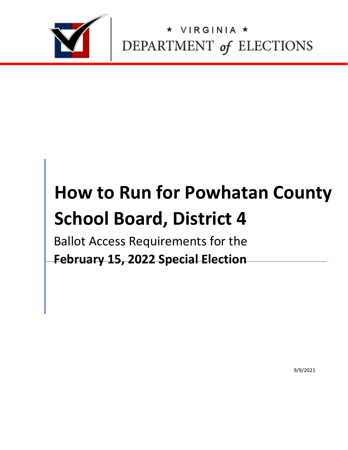

IRGINIA \* DEPARTMENT of ELECTIONS

# **How to Run for Powhatan County School Board, District 4**

Ballot Access Requirements for the **February 15, 2022 Special Election** 

9/9/2021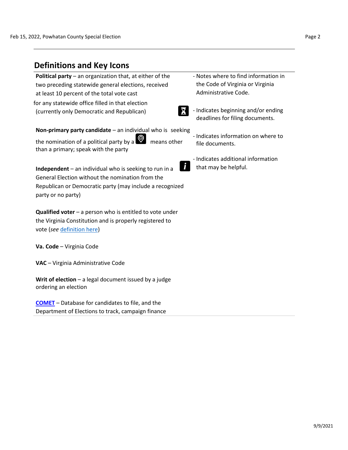ordering an election

**[COMET](https://cf.elections.virginia.gov/Account/LogOn?ReturnUrl=%2f)** [–](https://cf.elections.virginia.gov/Account/LogOn?ReturnUrl=%2f) Database for candidates to file, and the Department of Elections to track, campaign finance

| <b>Definitions and Key Icons</b>                                                                                                                                                                                                                                            |                                                                                                                                                                            |
|-----------------------------------------------------------------------------------------------------------------------------------------------------------------------------------------------------------------------------------------------------------------------------|----------------------------------------------------------------------------------------------------------------------------------------------------------------------------|
| <b>Political party</b> – an organization that, at either of the<br>two preceding statewide general elections, received<br>at least 10 percent of the total vote cast<br>for any statewide office filled in that election<br>X<br>(currently only Democratic and Republican) | - Notes where to find information in<br>the Code of Virginia or Virginia<br>Administrative Code.<br>- Indicates beginning and/or ending<br>deadlines for filing documents. |
| Non-primary party candidate - an individual who is seeking                                                                                                                                                                                                                  |                                                                                                                                                                            |
| $\heartsuit$<br>the nomination of a political party by a<br>means other<br>than a primary; speak with the party                                                                                                                                                             | - Indicates information on where to<br>file documents.                                                                                                                     |
| Independent - an individual who is seeking to run in a<br>General Election without the nomination from the<br>Republican or Democratic party (may include a recognized<br>party or no party)                                                                                | - Indicates additional information<br>that may be helpful.                                                                                                                 |
| <b>Qualified voter</b> $-$ a person who is entitled to vote under<br>the Virginia Constitution and is properly registered to<br>vote (see definition here)                                                                                                                  |                                                                                                                                                                            |
| Va. Code - Virginia Code                                                                                                                                                                                                                                                    |                                                                                                                                                                            |
| VAC - Virginia Administrative Code                                                                                                                                                                                                                                          |                                                                                                                                                                            |
| Writ of election $-$ a legal document issued by a judge                                                                                                                                                                                                                     |                                                                                                                                                                            |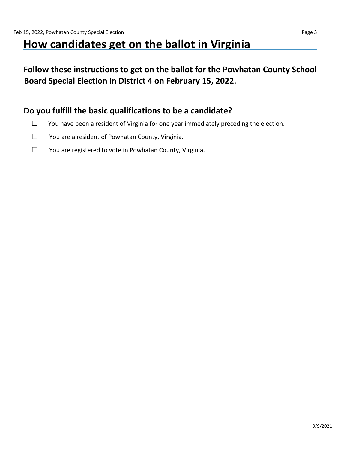# **How candidates get on the ballot in Virginia**

**Follow these instructions to get on the ballot for the Powhatan County School Board Special Election in District 4 on February 15, 2022.** 

### **Do you fulfill the basic qualifications to be a candidate?**

- □ You have been a resident of Virginia for one year immediately preceding the election.
- ☐ You are a resident of Powhatan County, Virginia.
- ☐ You are registered to vote in Powhatan County, Virginia.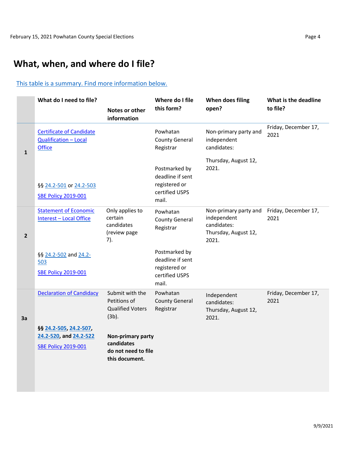# **What, when, and where do I file?**

#### This table is a summary. Find more information below.

|              | What do I need to file?                                                          | Notes or other<br>information                                            | Where do I file<br>this form?                                                 | When does filing<br>open?                                                            | What is the deadline<br>to file? |
|--------------|----------------------------------------------------------------------------------|--------------------------------------------------------------------------|-------------------------------------------------------------------------------|--------------------------------------------------------------------------------------|----------------------------------|
| $\mathbf 1$  | <b>Certificate of Candidate</b><br><b>Qualification - Local</b><br><b>Office</b> |                                                                          | Powhatan<br><b>County General</b><br>Registrar                                | Non-primary party and<br>independent<br>candidates:                                  | Friday, December 17,<br>2021     |
|              | §§ 24.2-501 or 24.2-503<br><b>SBE Policy 2019-001</b>                            |                                                                          | Postmarked by<br>deadline if sent<br>registered or<br>certified USPS<br>mail. | Thursday, August 12,<br>2021.                                                        |                                  |
| $\mathbf{2}$ | <b>Statement of Economic</b><br><b>Interest - Local Office</b>                   | Only applies to<br>certain<br>candidates<br>(review page<br>7).          | Powhatan<br><b>County General</b><br>Registrar                                | Non-primary party and<br>independent<br>candidates:<br>Thursday, August 12,<br>2021. | Friday, December 17,<br>2021     |
|              | §§ 24.2-502 and 24.2-<br>503<br><b>SBE Policy 2019-001</b>                       |                                                                          | Postmarked by<br>deadline if sent<br>registered or<br>certified USPS<br>mail. |                                                                                      |                                  |
| 3a           | <b>Declaration of Candidacy</b>                                                  | Submit with the<br>Petitions of<br><b>Qualified Voters</b><br>$(3b)$ .   | Powhatan<br><b>County General</b><br>Registrar                                | Independent<br>candidates:<br>Thursday, August 12,<br>2021.                          | Friday, December 17,<br>2021     |
|              | §§ 24.2-505, 24.2-507,<br>24.2-520, and 24.2-522<br><b>SBE Policy 2019-001</b>   | Non-primary party<br>candidates<br>do not need to file<br>this document. |                                                                               |                                                                                      |                                  |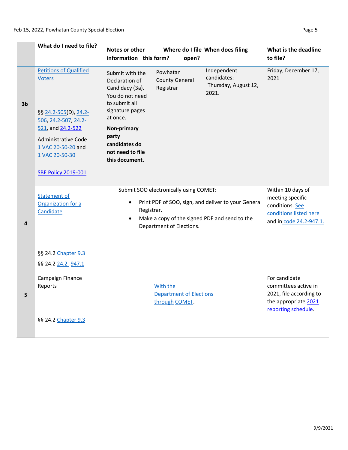|    | What do I need to file?                                                                                                                                                                                                  | Notes or other<br>information this form?                                                                                                                                                               | open?                                                              | Where do I file When does filing                                                                     | What is the deadline<br>to file?                                                                                |
|----|--------------------------------------------------------------------------------------------------------------------------------------------------------------------------------------------------------------------------|--------------------------------------------------------------------------------------------------------------------------------------------------------------------------------------------------------|--------------------------------------------------------------------|------------------------------------------------------------------------------------------------------|-----------------------------------------------------------------------------------------------------------------|
| 3b | <b>Petitions of Qualified</b><br><b>Voters</b><br>§§ 24.2-505(D), 24.2-<br>506, 24.2-507, 24.2-<br>521, and 24.2-522<br><b>Administrative Code</b><br>1 VAC 20-50-20 and<br>1 VAC 20-50-30<br><b>SBE Policy 2019-001</b> | Submit with the<br>Declaration of<br>Candidacy (3a).<br>You do not need<br>to submit all<br>signature pages<br>at once.<br>Non-primary<br>party<br>candidates do<br>not need to file<br>this document. | Powhatan<br><b>County General</b><br>Registrar                     | Independent<br>candidates:<br>Thursday, August 12,<br>2021.                                          | Friday, December 17,<br>2021                                                                                    |
| 4  | <b>Statement of</b><br>Organization for a<br>Candidate<br>§§ 24.2 Chapter 9.3<br>§§ 24.2 24.2- 947.1                                                                                                                     | $\bullet$<br>Registrar.<br>$\bullet$                                                                                                                                                                   | Submit SOO electronically using COMET:<br>Department of Elections. | Print PDF of SOO, sign, and deliver to your General<br>Make a copy of the signed PDF and send to the | Within 10 days of<br>meeting specific<br>conditions. See<br>conditions listed here<br>and in code 24.2-947.1.   |
| 5  | Campaign Finance<br>Reports<br>§§ 24.2 Chapter 9.3                                                                                                                                                                       |                                                                                                                                                                                                        | With the<br><b>Department of Elections</b><br>through COMET.       |                                                                                                      | For candidate<br>committees active in<br>2021, file according to<br>the appropriate 2021<br>reporting schedule. |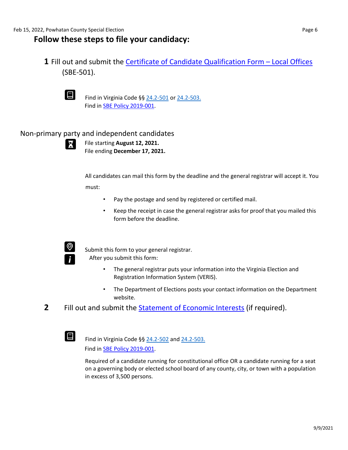#### **Follow these steps to file your candidacy:**

**1** Fill out and submit th[e](https://www.elections.virginia.gov/media/formswarehouse/campaign-finance/2018/candidates/SBE_501_4-rev7-18.pdf) [Certificate of Candidate Qualification Form](https://www.elections.virginia.gov/media/formswarehouse/campaign-finance/2018/candidates/SBE_501_4-rev7-18.pdf) [–](https://www.elections.virginia.gov/media/formswarehouse/campaign-finance/2018/candidates/SBE_501_4-rev7-18.pdf) [Local](https://www.elections.virginia.gov/media/formswarehouse/campaign-finance/2018/candidates/SBE_501_4-rev7-18.pdf) [Offices](https://www.elections.virginia.gov/media/formswarehouse/campaign-finance/2018/candidates/SBE_501_4-rev7-18.pdf) [\(S](https://www.elections.virginia.gov/media/formswarehouse/campaign-finance/2018/candidates/SBE_501_4-rev7-18.pdf)BE-501).



**E** Find in Virginia Code §§ [24.2-501](https://law.lis.virginia.gov/vacode/title24.2/chapter5/section24.2-501/) [or](https://law.lis.virginia.gov/vacode/title24.2/chapter5/section24.2-501/) [24.2-503.](https://law.lis.virginia.gov/vacode/title24.2/chapter5/section24.2-503/) Find in [SBE Policy 2019-001.](https://www.elections.virginia.gov/media/electionadministration/electionlaw/2019_001_SBE_policy_10_29.pdf)

#### Non-primary party and independent candidates



File starting **August 12, 2021.** File ending **December 17, 2021.** 

All candidates can mail this form by the deadline and the general registrar will accept it. You must:

- Pay the postage and send by registered or certified mail.
- Keep the receipt in case the general registrar asks for proof that you mailed this form before the deadline.



 Submit this form to your general registrar. After you submit this form:

- The general registrar puts your information into the Virginia Election and Registration Information System (VERIS).
- The Department of Elections posts your contact information on the Department website.
- **2** Fill out and submit the [Statement of Economic Interests](https://www.elections.virginia.gov/media/SOEI-State-and-Local-Statement-of-Economic-Interests.pdf) [\(i](https://www.elections.virginia.gov/media/SOEI-State-and-Local-Statement-of-Economic-Interests.pdf)f required).

 Find in Virginia Code §§ [24.2-502](https://law.lis.virginia.gov/vacode/title24.2/chapter5/section24.2-502/) [an](https://law.lis.virginia.gov/vacode/title24.2/chapter5/section24.2-502/)[d](https://law.lis.virginia.gov/vacode/title24.2/chapter5/section24.2-503/) [24.2-503.](https://law.lis.virginia.gov/vacode/title24.2/chapter5/section24.2-503/) Find in [SBE Policy 2019-001.](https://www.elections.virginia.gov/media/electionadministration/electionlaw/2019_001_SBE_policy_10_29.pdf)

Required of a candidate running for constitutional office OR a candidate running for a seat on a governing body or elected school board of any county, city, or town with a population in excess of 3,500 persons.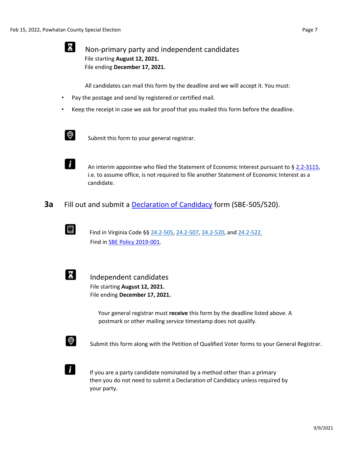## $\Sigma$  Non-primary party and independent candidates File starting **August 12, 2021.**  File ending **December 17, 2021.**

All candidates can mail this form by the deadline and we will accept it. You must:

- Pay the postage and send by registered or certified mail.
- Keep the receipt in case we ask for proof that you mailed this form before the deadline.



 $\bigotimes$  Submit this form to your general registrar.



An interim appointee who filed the Statement of Economic Interest pursuant to § [2.2-3115,](https://law.lis.virginia.gov/vacode/title2.2/chapter31/section2.2-3115/) i.e. to assume office, is not required to file another Statement of Economic Interest as a candidate.

**3a** Fill out and submit a [Declaration of Candidacy](https://www.elections.virginia.gov/media/formswarehouse/campaign-finance/2018/candidates/SBE_505_520_Declaration_of_Candidacy_Rev1_15.pdf) [fo](https://www.elections.virginia.gov/media/formswarehouse/campaign-finance/2018/candidates/SBE_505_520_Declaration_of_Candidacy_Rev1_15.pdf)rm (SBE-505/520).



**E** Find in Virginia Code §§ [24.2-505,](https://law.lis.virginia.gov/vacode/title24.2/chapter5/section24.2-505/) [24.2-507,](https://law.lis.virginia.gov/vacode/title24.2/chapter5/section24.2-507/) [24.2-520,](https://law.lis.virginia.gov/vacode/title24.2/chapter5/section24.2-507/) an[d](https://law.lis.virginia.gov/vacode/title24.2/chapter5/section24.2-522/) [24.2-522.](https://law.lis.virginia.gov/vacode/title24.2/chapter5/section24.2-522/) Find in SBE [Policy 2019-001.](https://www.elections.virginia.gov/media/electionadministration/electionlaw/2019_001_SBE_policy_10_29.pdf)



 Independent candidates File starting **August 12, 2021.**  File ending **December 17, 2021.** 

> Your general registrar must **receive** this form by the deadline listed above. A postmark or other mailing service timestamp does not qualify.



 $\bigotimes$  Submit this form along with the Petition of Qualified Voter forms to your General Registrar.



If you are a party candidate nominated by a method other than a primary then you do not need to submit a Declaration of Candidacy unless required by your party.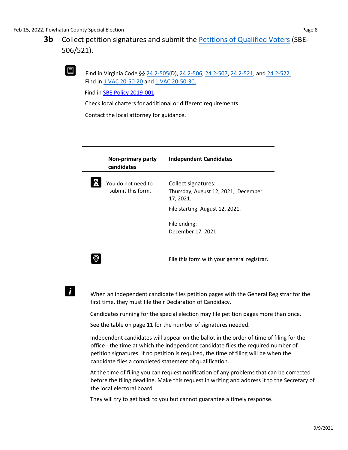# **3b** Collect petition signatures and submit the **Petitions of Qualified [Voters](https://www.elections.virginia.gov/Files/Forms/Candidates/Petition-of-Qualified-Voters-SBE-506_521_letter.pdf)** [\(S](https://www.elections.virginia.gov/Files/Forms/Candidates/Petition-of-Qualified-Voters-SBE-506_521_letter.pdf)BE-506/521).

 Find in Virginia Code §§ [24.2-505\(D](https://law.lis.virginia.gov/vacode/title24.2/chapter5/section24.2-505/)), [24.2-506,](https://law.lis.virginia.gov/vacode/title24.2/chapter5/section24.2-506/) [24.2-507,](https://law.lis.virginia.gov/vacode/title24.2/chapter5/section24.2-506/) [24.2-521, an](https://law.lis.virginia.gov/vacode/title24.2/chapter5/section24.2-521/)[d](https://law.lis.virginia.gov/vacode/title24.2/chapter5/section24.2-522/) [24.2-522.](https://law.lis.virginia.gov/vacode/title24.2/chapter5/section24.2-522/) Find in [1 VAC 20-50-20](https://law.lis.virginia.gov/admincode/title1/agency20/chapter50/section20/) [a](https://law.lis.virginia.gov/admincode/title1/agency20/chapter50/section20/)[nd 1 VAC 20-50-30.](https://law.lis.virginia.gov/admincode/title1/agency20/chapter50/section30/)

Find in [SBE Policy 2019-001.](https://www.elections.virginia.gov/media/electionadministration/electionlaw/2019_001_SBE_policy_10_29.pdf)

Check local charters for additional or different requirements.

Contact the local attorney for guidance.

| Non-primary party<br>candidates         | <b>Independent Candidates</b>                                                                                              |
|-----------------------------------------|----------------------------------------------------------------------------------------------------------------------------|
| You do not need to<br>submit this form. | Collect signatures:<br>Thursday, August 12, 2021, December<br>17, 2021.<br>File starting: August 12, 2021.<br>File ending: |
|                                         | December 17, 2021.                                                                                                         |
|                                         | File this form with your general registrar.                                                                                |

# $\mathbf{i}$

When an independent candidate files petition pages with the General Registrar for the first time, they must file their Declaration of Candidacy.

Candidates running for the special election may file petition pages more than once.

See the table on page 11 for the number of signatures needed.

Independent candidates will appear on the ballot in the order of time of filing for the office - the time at which the independent candidate files the required number of petition signatures. If no petition is required, the time of filing will be when the candidate files a completed statement of qualification.

At the time of filing you can request notification of any problems that can be corrected before the filing deadline. Make this request in writing and address it to the Secretary of the local electoral board.

They will try to get back to you but cannot guarantee a timely response.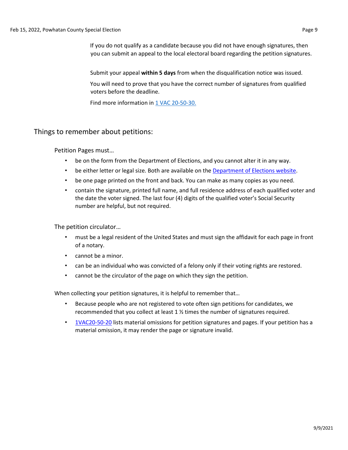If you do not qualify as a candidate because you did not have enough signatures, then you can submit an appeal to the local electoral board regarding the petition signatures.

Submit your appeal **within 5 days** from when the disqualification notice was issued.

You will need to prove that you have the correct number of signatures from qualified voters before the deadline.

Find more information in [1 VAC 20-50-30.](https://law.lis.virginia.gov/admincode/title1/agency20/chapter50/section30/)

#### Things to remember about petitions:

Petition Pages must…

- be on the form from the Department of Elections, and you cannot alter it in any way.
- be either letter or legal size. Both are available on the [Department of Elections](https://www.elections.virginia.gov/candidatepac-info/candidate-forms/index.html) [website.](https://www.elections.virginia.gov/candidatepac-info/candidate-forms/index.html)
- be one page printed on the front and back. You can make as many copies as you need.
- contain the signature, printed full name, and full residence address of each qualified voter and the date the voter signed. The last four (4) digits of the qualified voter's Social Security number are helpful, but not required.

The petition circulator…

- must be a legal resident of the United States and must sign the affidavit for each page in front of a notary.
- cannot be a minor.
- can be an individual who was convicted of a felony only if their voting rights are restored.
- cannot be the circulator of the page on which they sign the petition.

When collecting your petition signatures, it is helpful to remember that…

- Because people who are not registered to vote often sign petitions for candidates, we recommended that you collect at least 1 ½ times the number of signatures required.
- [1VAC20-50-20](https://law.lis.virginia.gov/admincode/title1/agency20/chapter50/section20/) [li](https://law.lis.virginia.gov/admincode/title1/agency20/chapter50/section20/)sts material omissions for petition signatures and pages. If your petition has a material omission, it may render the page or signature invalid.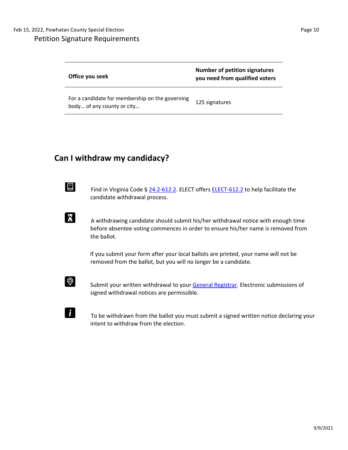| Office you seek                                                               | <b>Number of petition signatures</b><br>you need from qualified voters |
|-------------------------------------------------------------------------------|------------------------------------------------------------------------|
| For a candidate for membership on the governing<br>body of any county or city | 125 signatures                                                         |

# **Can I withdraw my candidacy?**

Find in Virginia Code § [24.2-612.2.](https://law.lis.virginia.gov/vacode/title24.2/chapter6/section24.2-612.2/) ELECT offers [ELECT-612.2](https://www.elections.virginia.gov/media/formswarehouse/campaign-finance/2018/candidates/ELECT-612-2-Candidate-Withdrawal-Form-12-17.pdf) [to](https://www.elections.virginia.gov/media/formswarehouse/campaign-finance/2018/candidates/ELECT-612-2-Candidate-Withdrawal-Form-12-17.pdf) help facilitate the candidate withdrawal process.

 $\sum$  A withdrawing candidate should submit his/her withdrawal notice with enough time before absentee voting commences in order to ensure his/her name is removed from the ballot.

> If you submit your form after your local ballots are printed, your name will not be removed from the ballot, but you will no longer be a candidate.



 $\mathbf{i}$ 

Submit your written withdrawal to your [General Registrar.](https://vote.elections.virginia.gov/VoterInformation/PublicContactLookup) Electronic submissions of signed withdrawal notices are permissible.

 To be withdrawn from the ballot you must submit a signed written notice declaring your intent to withdraw from the election.